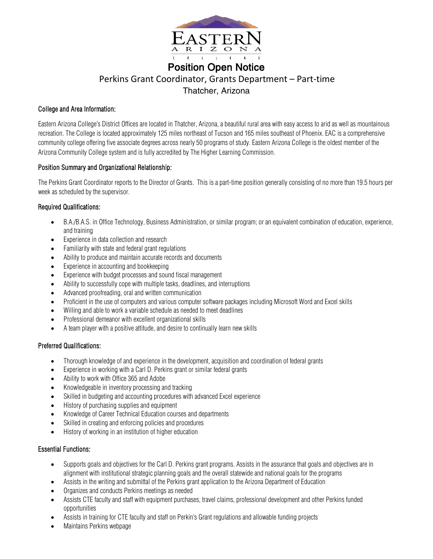

# Position Open Notice Perkins Grant Coordinator, Grants Department – Part-time Thatcher, Arizona

## College and Area Information:

Eastern Arizona College's District Offices are located in Thatcher, Arizona, a beautiful rural area with easy access to arid as well as mountainous recreation. The College is located approximately 125 miles northeast of Tucson and 165 miles southeast of Phoenix. EAC is a comprehensive community college offering five associate degrees across nearly 50 programs of study. Eastern Arizona College is the oldest member of the Arizona Community College system and is fully accredited by The Higher Learning Commission.

#### Position Summary and Organizational Relationship:

The Perkins Grant Coordinator reports to the Director of Grants. This is a part-time position generally consisting of no more than 19.5 hours per week as scheduled by the supervisor.

### Required Qualifications:

- B.A./B.A.S. in Office Technology, Business Administration, or similar program; or an equivalent combination of education, experience, and training
- Experience in data collection and research
- Familiarity with state and federal grant regulations
- Ability to produce and maintain accurate records and documents
- Experience in accounting and bookkeeping
- Experience with budget processes and sound fiscal management
- Ability to successfully cope with multiple tasks, deadlines, and interruptions
- Advanced proofreading, oral and written communication
- Proficient in the use of computers and various computer software packages including Microsoft Word and Excel skills
- Willing and able to work a variable schedule as needed to meet deadlines
- Professional demeanor with excellent organizational skills
- A team player with a positive attitude, and desire to continually learn new skills

# Preferred Qualifications:

- Thorough knowledge of and experience in the development, acquisition and coordination of federal grants
- Experience in working with a Carl D. Perkins grant or similar federal grants
- Ability to work with Office 365 and Adobe
- Knowledgeable in inventory processing and tracking
- Skilled in budgeting and accounting procedures with advanced Excel experience
- History of purchasing supplies and equipment
- Knowledge of Career Technical Education courses and departments
- Skilled in creating and enforcing policies and procedures
- History of working in an institution of higher education

# Essential Functions:

- Supports goals and objectives for the Carl D. Perkins grant programs. Assists in the assurance that goals and objectives are in alignment with institutional strategic planning goals and the overall statewide and national goals for the programs
- Assists in the writing and submittal of the Perkins grant application to the Arizona Department of Education
- Organizes and conducts Perkins meetings as needed
- Assists CTE faculty and staff with equipment purchases, travel claims, professional development and other Perkins funded opportunities
- Assists in training for CTE faculty and staff on Perkin's Grant regulations and allowable funding projects
- Maintains Perkins webpage